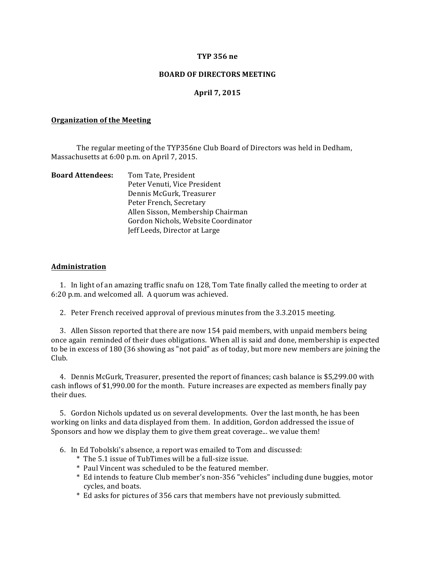### **TYP 356 ne**

### **BOARD OF DIRECTORS MEETING**

## **April 7, 2015**

#### **Organization of the Meeting**

The regular meeting of the TYP356ne Club Board of Directors was held in Dedham, Massachusetts at 6:00 p.m. on April 7, 2015.

| <b>Board Attendees:</b> | Tom Tate, President                 |
|-------------------------|-------------------------------------|
|                         | Peter Venuti, Vice President        |
|                         | Dennis McGurk, Treasurer            |
|                         | Peter French, Secretary             |
|                         | Allen Sisson, Membership Chairman   |
|                         | Gordon Nichols, Website Coordinator |
|                         | Jeff Leeds, Director at Large       |

#### **Administration**

1. In light of an amazing traffic snafu on 128, Tom Tate finally called the meeting to order at 6:20 p.m. and welcomed all. A quorum was achieved.

2. Peter French received approval of previous minutes from the 3.3.2015 meeting.

3. Allen Sisson reported that there are now 154 paid members, with unpaid members being once again reminded of their dues obligations. When all is said and done, membership is expected to be in excess of 180 (36 showing as "not paid" as of today, but more new members are joining the Club. 

4. Dennis McGurk, Treasurer, presented the report of finances; cash balance is \$5,299.00 with cash inflows of \$1,990.00 for the month. Future increases are expected as members finally pay their dues.

5. Gordon Nichols updated us on several developments. Over the last month, he has been working on links and data displayed from them. In addition, Gordon addressed the issue of Sponsors and how we display them to give them great coverage... we value them!

- 6. In Ed Tobolski's absence, a report was emailed to Tom and discussed:
	- \* The 5.1 issue of TubTimes will be a full-size issue.
	- \* Paul Vincent was scheduled to be the featured member.
	- \* Ed intends to feature Club member's non-356 "vehicles" including dune buggies, motor cycles, and boats.
	- \* Ed asks for pictures of 356 cars that members have not previously submitted.